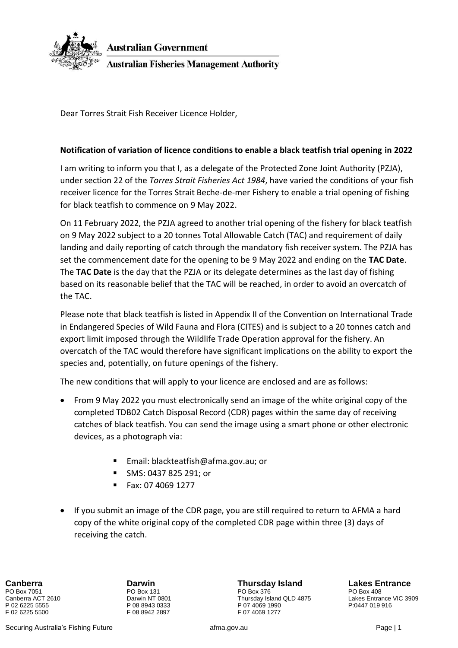

Dear Torres Strait Fish Receiver Licence Holder,

## **Notification of variation of licence conditions to enable a black teatfish trial opening in 2022**

I am writing to inform you that I, as a delegate of the Protected Zone Joint Authority (PZJA), under section 22 of the *Torres Strait Fisheries Act 1984*, have varied the conditions of your fish receiver licence for the Torres Strait Beche-de-mer Fishery to enable a trial opening of fishing for black teatfish to commence on 9 May 2022.

On 11 February 2022, the PZJA agreed to another trial opening of the fishery for black teatfish on 9 May 2022 subject to a 20 tonnes Total Allowable Catch (TAC) and requirement of daily landing and daily reporting of catch through the mandatory fish receiver system. The PZJA has set the commencement date for the opening to be 9 May 2022 and ending on the **TAC Date**. The **TAC Date** is the day that the PZJA or its delegate determines as the last day of fishing based on its reasonable belief that the TAC will be reached, in order to avoid an overcatch of the TAC.

Please note that black teatfish is listed in Appendix II of the Convention on International Trade in Endangered Species of Wild Fauna and Flora (CITES) and is subject to a 20 tonnes catch and export limit imposed through the Wildlife Trade Operation approval for the fishery. An overcatch of the TAC would therefore have significant implications on the ability to export the species and, potentially, on future openings of the fishery.

The new conditions that will apply to your licence are enclosed and are as follows:

- From 9 May 2022 you must electronically send an image of the white original copy of the completed TDB02 Catch Disposal Record (CDR) pages within the same day of receiving catches of black teatfish. You can send the image using a smart phone or other electronic devices, as a photograph via:
	- Email: blackteatfish@afma.gov.au; or
	- SMS: 0437 825 291; or
	- Fax: 07 4069 1277
- If you submit an image of the CDR page, you are still required to return to AFMA a hard copy of the white original copy of the completed CDR page within three (3) days of receiving the catch.

F 02 6225 5500 F 08 8942 2897 F 07 4069 1277

**Canberra Darwin Thursday Island Lakes Entrance** PO Box 7051 PO Box 131 PO Box 376 PO Box 408 Canberra ACT 2610 **Darwin NT 0801** Darwin NT 0801 Thursday Island QLD 4875 Lakes Entrance VIC 3909<br>
P 02 6225 5555 P 08 8943 0333 P 07 4069 1990 P 0447 019 916 P 02 6225 5555 P 08 8943 0333 P 07 4069 1990 P:0447 019 916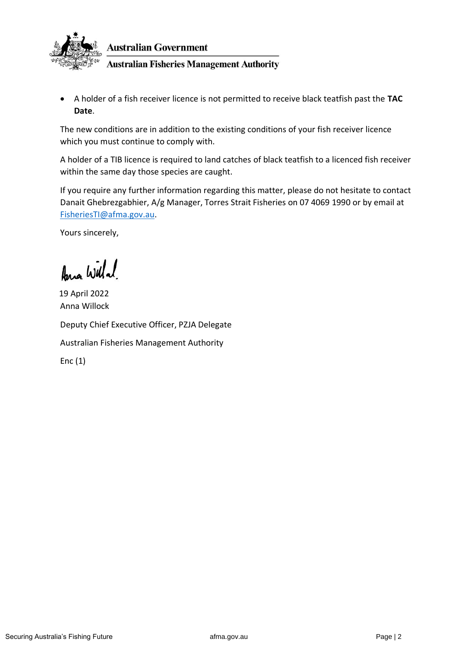

• A holder of a fish receiver licence is not permitted to receive black teatfish past the **TAC Date**.

The new conditions are in addition to the existing conditions of your fish receiver licence which you must continue to comply with.

A holder of a TIB licence is required to land catches of black teatfish to a licenced fish receiver within the same day those species are caught.

If you require any further information regarding this matter, please do not hesitate to contact Danait Ghebrezgabhier, A/g Manager, Torres Strait Fisheries on 07 4069 1990 or by email at [FisheriesTI@afma.gov.au.](mailto:FisheriesTI@afma.gov.au)

Yours sincerely,

Ana Willa!

Anna Willock Deputy Chief Executive Officer, PZJA Delegate Australian Fisheries Management Authority Enc (1) 19 April 2022